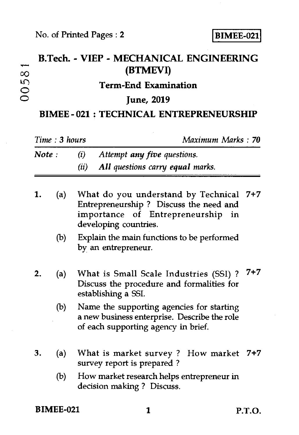## **B.Tech. - VIEP - MECHANICAL ENGINEERING <sup>00</sup>(BTMEVI) kn Term-End Examination**  o **June, 2019**

## **BIMEE - 021 : TECHNICAL ENTREPRENEURSHIP**

|        | Time: 3 hours |                                                                                                                                                 | Maximum Marks : 70 |  |
|--------|---------------|-------------------------------------------------------------------------------------------------------------------------------------------------|--------------------|--|
| Note : |               | (i)<br>Attempt any five questions.<br>All questions carry equal marks.<br>(ii)                                                                  |                    |  |
|        | (a)           | What do you understand by Technical 7+7<br>Entrepreneurship? Discuss the need and<br>importance of Entrepreneurship in<br>developing countries. |                    |  |
|        | (b)           | Explain the main functions to be performed<br>by an entrepreneur.                                                                               |                    |  |
|        | (a)           | What is Small Scale Industries (SSI) ?<br>Discuss the procedure and formalities for<br>establishing a SSI.                                      | 7+7                |  |
|        | (b)           | Name the supporting agencies for starting<br>a new business enterprise. Describe the role<br>of each supporting agency in brief.                |                    |  |
| З.     | (a)           | What is market survey? How market<br>survey report is prepared?                                                                                 | $7 + 7$            |  |
|        | (b)           | How market research helps entrepreneur in<br>decision making? Discuss.                                                                          |                    |  |

**BIMEE-021 1 P.T.O.**